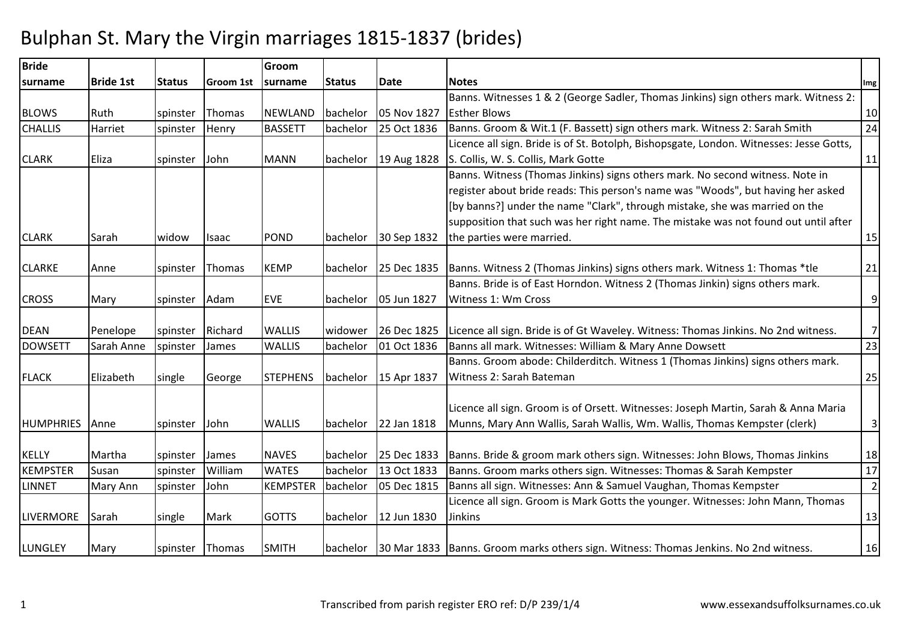## Bulphan St. Mary the Virgin marriages 1815-1837 (brides)

| <b>Bride</b>     |                  |               |                  | Groom           |               |             |                                                                                                   |                |
|------------------|------------------|---------------|------------------|-----------------|---------------|-------------|---------------------------------------------------------------------------------------------------|----------------|
| surname          | <b>Bride 1st</b> | <b>Status</b> | <b>Groom 1st</b> | surname         | <b>Status</b> | <b>Date</b> | <b>Notes</b>                                                                                      | Img            |
|                  |                  |               |                  |                 |               |             | Banns. Witnesses 1 & 2 (George Sadler, Thomas Jinkins) sign others mark. Witness 2:               |                |
| <b>BLOWS</b>     | Ruth             | spinster      | Thomas           | <b>NEWLAND</b>  | bachelor      | 05 Nov 1827 | <b>Esther Blows</b>                                                                               | 10             |
| <b>CHALLIS</b>   | Harriet          | spinster      | Henry            | <b>BASSETT</b>  | bachelor      | 25 Oct 1836 | Banns. Groom & Wit.1 (F. Bassett) sign others mark. Witness 2: Sarah Smith                        | 24             |
|                  |                  |               |                  |                 |               |             | Licence all sign. Bride is of St. Botolph, Bishopsgate, London. Witnesses: Jesse Gotts,           |                |
| <b>CLARK</b>     | Eliza            | spinster      | John             | <b>MANN</b>     | bachelor      | 19 Aug 1828 | S. Collis, W. S. Collis, Mark Gotte                                                               | 11             |
|                  |                  |               |                  |                 |               |             | Banns. Witness (Thomas Jinkins) signs others mark. No second witness. Note in                     |                |
|                  |                  |               |                  |                 |               |             | register about bride reads: This person's name was "Woods", but having her asked                  |                |
|                  |                  |               |                  |                 |               |             | [by banns?] under the name "Clark", through mistake, she was married on the                       |                |
|                  |                  |               |                  |                 |               |             | supposition that such was her right name. The mistake was not found out until after               |                |
| <b>CLARK</b>     | Sarah            | widow         | Isaac            | POND            | bachelor      | 30 Sep 1832 | the parties were married.                                                                         | 15             |
|                  |                  |               |                  |                 |               |             |                                                                                                   |                |
| <b>CLARKE</b>    | Anne             | spinster      | Thomas           | <b>KEMP</b>     | bachelor      |             | 25 Dec 1835   Banns. Witness 2 (Thomas Jinkins) signs others mark. Witness 1: Thomas *tle         | 21             |
|                  |                  |               |                  |                 |               |             | Banns. Bride is of East Horndon. Witness 2 (Thomas Jinkin) signs others mark.                     |                |
| <b>CROSS</b>     | Mary             | spinster      | Adam             | <b>EVE</b>      | bachelor      | 05 Jun 1827 | Witness 1: Wm Cross                                                                               | 9              |
|                  |                  |               |                  |                 |               |             |                                                                                                   |                |
| <b>DEAN</b>      | Penelope         | spinster      | Richard          | <b>WALLIS</b>   | widower       | 26 Dec 1825 | Licence all sign. Bride is of Gt Waveley. Witness: Thomas Jinkins. No 2nd witness.                | $\overline{7}$ |
| <b>DOWSETT</b>   | Sarah Anne       | spinster      | James            | <b>WALLIS</b>   | bachelor      | 01 Oct 1836 | Banns all mark. Witnesses: William & Mary Anne Dowsett                                            | 23             |
|                  |                  |               |                  |                 |               |             | Banns. Groom abode: Childerditch. Witness 1 (Thomas Jinkins) signs others mark.                   |                |
| <b>FLACK</b>     | Elizabeth        | single        | George           | <b>STEPHENS</b> | bachelor      | 15 Apr 1837 | Witness 2: Sarah Bateman                                                                          | 25             |
|                  |                  |               |                  |                 |               |             |                                                                                                   |                |
|                  |                  |               |                  |                 |               |             | Licence all sign. Groom is of Orsett. Witnesses: Joseph Martin, Sarah & Anna Maria                |                |
| <b>HUMPHRIES</b> | Anne             | spinster      | John             | <b>WALLIS</b>   | bachelor      | 22 Jan 1818 | Munns, Mary Ann Wallis, Sarah Wallis, Wm. Wallis, Thomas Kempster (clerk)                         | $\mathsf{3}$   |
|                  |                  |               |                  |                 |               |             |                                                                                                   |                |
| <b>KELLY</b>     | Martha           | spinster      | James            | <b>NAVES</b>    | bachelor      | 25 Dec 1833 | Banns. Bride & groom mark others sign. Witnesses: John Blows, Thomas Jinkins                      | 18             |
| <b>KEMPSTER</b>  | Susan            | spinster      | William          | <b>WATES</b>    | bachelor      | 13 Oct 1833 | Banns. Groom marks others sign. Witnesses: Thomas & Sarah Kempster                                | 17             |
| <b>LINNET</b>    | Mary Ann         | spinster      | John             | <b>KEMPSTER</b> | bachelor      | 05 Dec 1815 | Banns all sign. Witnesses: Ann & Samuel Vaughan, Thomas Kempster                                  | $\overline{2}$ |
|                  |                  |               |                  |                 |               |             | Licence all sign. Groom is Mark Gotts the younger. Witnesses: John Mann, Thomas                   |                |
| <b>LIVERMORE</b> | Sarah            | single        | Mark             | <b>GOTTS</b>    | bachelor      | 12 Jun 1830 | <b>Jinkins</b>                                                                                    | 13             |
|                  |                  |               |                  |                 |               |             |                                                                                                   |                |
| <b>LUNGLEY</b>   | Mary             | spinster      | Thomas           | <b>SMITH</b>    |               |             | bachelor   30 Mar 1833   Banns. Groom marks others sign. Witness: Thomas Jenkins. No 2nd witness. | 16             |